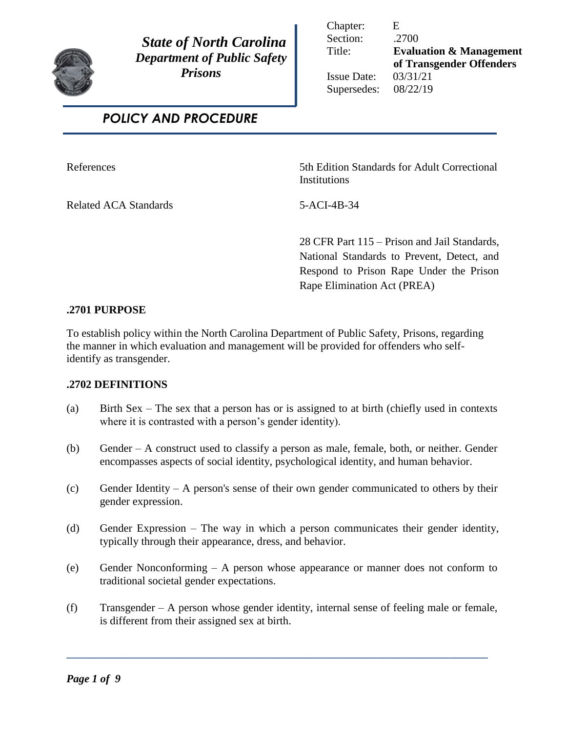

 *State of North Carolina Department of Public Safety Prisons* 

Chapter: E Section: .2700

Title: **Evaluation & Management of Transgender Offenders** 

Issue Date: 03/31/21 Supersedes: 08/22/19

# *POLICY AND PROCEDURE*

Related ACA Standards 5-ACI-4B-34

References 5th Edition Standards for Adult Correctional **Institutions** 

28 CFR Part 115 – Prison and Jail Standards, National Standards to Prevent, Detect, and Respond to Prison Rape Under the Prison Rape Elimination Act (PREA)

# **.2701 PURPOSE**

To establish policy within the North Carolina Department of Public Safety, Prisons, regarding the manner in which evaluation and management will be provided for offenders who selfidentify as transgender.

# **.2702 DEFINITIONS**

- (a) Birth Sex The sex that a person has or is assigned to at birth (chiefly used in contexts where it is contrasted with a person's gender identity).
- (b) Gender A construct used to classify a person as male, female, both, or neither. Gender encompasses aspects of social identity, psychological identity, and human behavior.
- (c) Gender Identity A person's sense of their own gender communicated to others by their gender expression.
- (d) Gender Expression The way in which a person communicates their gender identity, typically through their appearance, dress, and behavior.
- (e) Gender Nonconforming A person whose appearance or manner does not conform to traditional societal gender expectations.
- (f) Transgender A person whose gender identity, internal sense of feeling male or female, is different from their assigned sex at birth.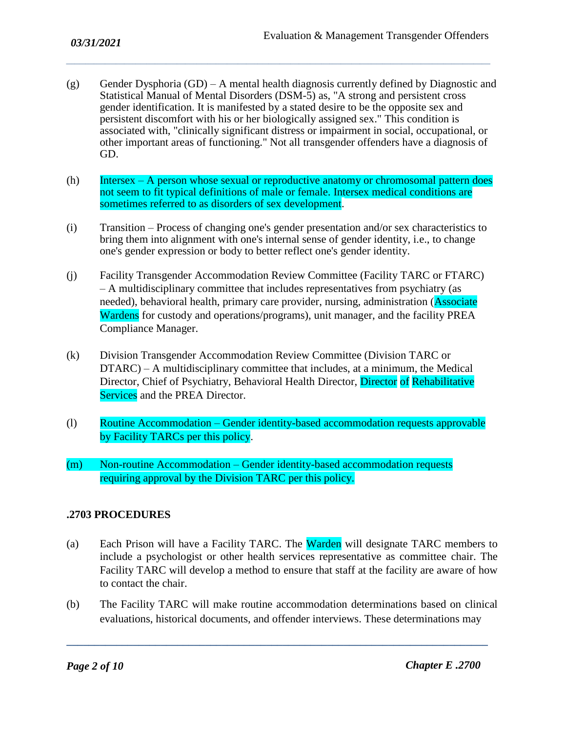(g) Gender Dysphoria  $(GD)$  – A mental health diagnosis currently defined by Diagnostic and Statistical Manual of Mental Disorders (DSM-5) as, "A strong and persistent cross gender identification. It is manifested by a stated desire to be the opposite sex and persistent discomfort with his or her biologically assigned sex." This condition is associated with, "clinically significant distress or impairment in social, occupational, or other important areas of functioning." Not all transgender offenders have a diagnosis of GD.

*\_\_\_\_\_\_\_\_\_\_\_\_\_\_\_\_\_\_\_\_\_\_\_\_\_\_\_\_\_\_\_\_\_\_\_\_\_\_\_\_\_\_\_\_\_\_\_\_\_\_\_\_\_\_\_\_\_\_\_\_\_\_\_\_\_\_\_\_\_\_\_\_\_\_\_\_\_\_\_\_\_\_\_\_\_\_\_\_\_\_\_\_\_\_\_\_\_\_\_\_\_\_\_\_\_\_\_\_\_\_\_\_\_\_\_\_\_\_\_\_\_\_\_\_\_\_\_\_\_\_\_\_\_\_\_\_\_\_\_\_\_\_\_\_\_\_\_\_\_\_\_\_\_*

- (h) Intersex A person whose sexual or reproductive anatomy or chromosomal pattern does not seem to fit typical definitions of male or female. Intersex medical conditions are sometimes referred to as disorders of sex development.
- (i) Transition Process of changing one's gender presentation and/or sex characteristics to bring them into alignment with one's internal sense of gender identity, i.e., to change one's gender expression or body to better reflect one's gender identity.
- (j) Facility Transgender Accommodation Review Committee (Facility TARC or FTARC) – A multidisciplinary committee that includes representatives from psychiatry (as needed), behavioral health, primary care provider, nursing, administration (Associate Wardens for custody and operations/programs), unit manager, and the facility PREA Compliance Manager.
- (k) Division Transgender Accommodation Review Committee (Division TARC or DTARC) – A multidisciplinary committee that includes, at a minimum, the Medical Director, Chief of Psychiatry, Behavioral Health Director, Director of Rehabilitative Services and the PREA Director.
- (l) Routine Accommodation Gender identity-based accommodation requests approvable by Facility TARCs per this policy.
- (m) Non-routine Accommodation Gender identity-based accommodation requests requiring approval by the Division TARC per this policy.

# **.2703 PROCEDURES**

- (a) Each Prison will have a Facility TARC. The Warden will designate TARC members to include a psychologist or other health services representative as committee chair. The Facility TARC will develop a method to ensure that staff at the facility are aware of how to contact the chair.
- (b) The Facility TARC will make routine accommodation determinations based on clinical evaluations, historical documents, and offender interviews. These determinations may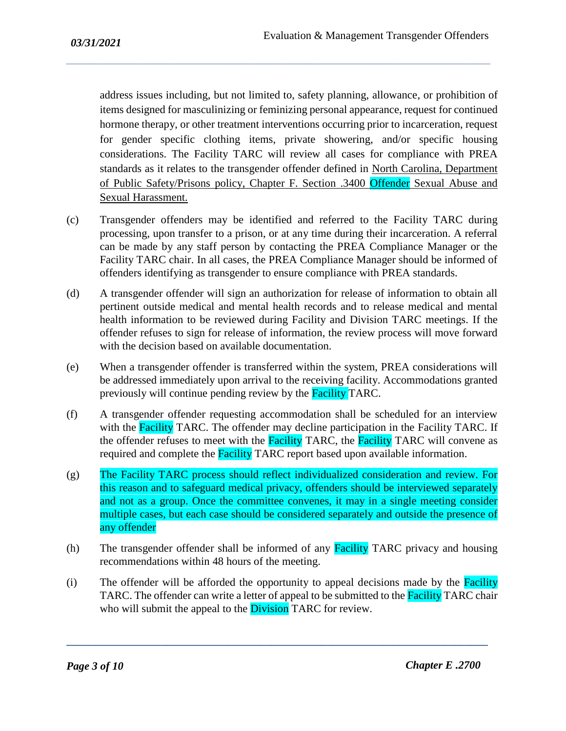address issues including, but not limited to, safety planning, allowance, or prohibition of items designed for masculinizing or feminizing personal appearance, request for continued hormone therapy, or other treatment interventions occurring prior to incarceration, request for gender specific clothing items, private showering, and/or specific housing considerations. The Facility TARC will review all cases for compliance with PREA standards as it relates to the transgender offender defined in North Carolina, Department of Public Safety/Prisons policy, Chapter F. Section .3400 Offender Sexual Abuse and Sexual Harassment.

*\_\_\_\_\_\_\_\_\_\_\_\_\_\_\_\_\_\_\_\_\_\_\_\_\_\_\_\_\_\_\_\_\_\_\_\_\_\_\_\_\_\_\_\_\_\_\_\_\_\_\_\_\_\_\_\_\_\_\_\_\_\_\_\_\_\_\_\_\_\_\_\_\_\_\_\_\_\_\_\_\_\_\_\_\_\_\_\_\_\_\_\_\_\_\_\_\_\_\_\_\_\_\_\_\_\_\_\_\_\_\_\_\_\_\_\_\_\_\_\_\_\_\_\_\_\_\_\_\_\_\_\_\_\_\_\_\_\_\_\_\_\_\_\_\_\_\_\_\_\_\_\_\_*

- (c) Transgender offenders may be identified and referred to the Facility TARC during processing, upon transfer to a prison, or at any time during their incarceration. A referral can be made by any staff person by contacting the PREA Compliance Manager or the Facility TARC chair. In all cases, the PREA Compliance Manager should be informed of offenders identifying as transgender to ensure compliance with PREA standards.
- (d) A transgender offender will sign an authorization for release of information to obtain all pertinent outside medical and mental health records and to release medical and mental health information to be reviewed during Facility and Division TARC meetings. If the offender refuses to sign for release of information, the review process will move forward with the decision based on available documentation.
- (e) When a transgender offender is transferred within the system, PREA considerations will be addressed immediately upon arrival to the receiving facility. Accommodations granted previously will continue pending review by the **Facility** TARC.
- (f) A transgender offender requesting accommodation shall be scheduled for an interview with the Facility TARC. The offender may decline participation in the Facility TARC. If the offender refuses to meet with the Facility TARC, the Facility TARC will convene as required and complete the Facility TARC report based upon available information.
- (g) The Facility TARC process should reflect individualized consideration and review. For this reason and to safeguard medical privacy, offenders should be interviewed separately and not as a group. Once the committee convenes, it may in a single meeting consider multiple cases, but each case should be considered separately and outside the presence of any offender
- (h) The transgender offender shall be informed of any **Facility** TARC privacy and housing recommendations within 48 hours of the meeting.
- $(i)$  The offender will be afforded the opportunity to appeal decisions made by the **Facility** TARC. The offender can write a letter of appeal to be submitted to the **Facility** TARC chair who will submit the appeal to the **Division** TARC for review.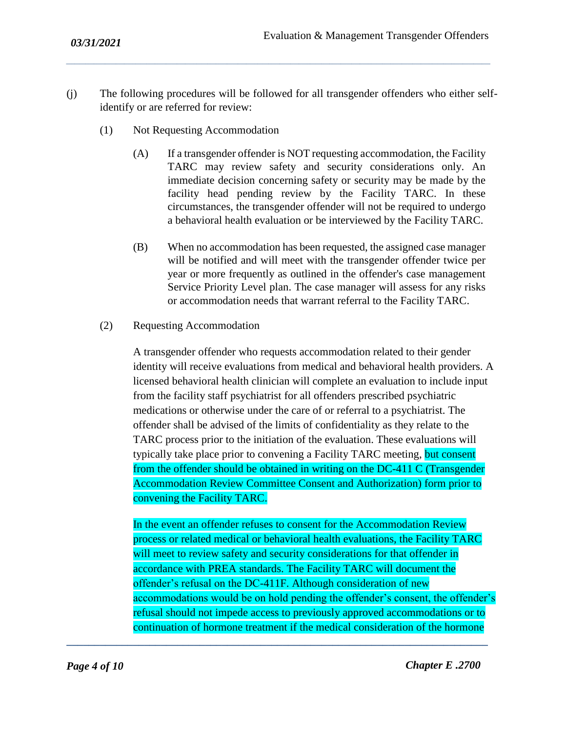(j) The following procedures will be followed for all transgender offenders who either selfidentify or are referred for review:

*\_\_\_\_\_\_\_\_\_\_\_\_\_\_\_\_\_\_\_\_\_\_\_\_\_\_\_\_\_\_\_\_\_\_\_\_\_\_\_\_\_\_\_\_\_\_\_\_\_\_\_\_\_\_\_\_\_\_\_\_\_\_\_\_\_\_\_\_\_\_\_\_\_\_\_\_\_\_\_\_\_\_\_\_\_\_\_\_\_\_\_\_\_\_\_\_\_\_\_\_\_\_\_\_\_\_\_\_\_\_\_\_\_\_\_\_\_\_\_\_\_\_\_\_\_\_\_\_\_\_\_\_\_\_\_\_\_\_\_\_\_\_\_\_\_\_\_\_\_\_\_\_\_*

- (1) Not Requesting Accommodation
	- (A) If a transgender offender is NOT requesting accommodation, the Facility TARC may review safety and security considerations only. An immediate decision concerning safety or security may be made by the facility head pending review by the Facility TARC. In these circumstances, the transgender offender will not be required to undergo a behavioral health evaluation or be interviewed by the Facility TARC.
	- (B) When no accommodation has been requested, the assigned case manager will be notified and will meet with the transgender offender twice per year or more frequently as outlined in the offender's case management Service Priority Level plan. The case manager will assess for any risks or accommodation needs that warrant referral to the Facility TARC.
- (2) Requesting Accommodation

A transgender offender who requests accommodation related to their gender identity will receive evaluations from medical and behavioral health providers. A licensed behavioral health clinician will complete an evaluation to include input from the facility staff psychiatrist for all offenders prescribed psychiatric medications or otherwise under the care of or referral to a psychiatrist. The offender shall be advised of the limits of confidentiality as they relate to the TARC process prior to the initiation of the evaluation. These evaluations will typically take place prior to convening a Facility TARC meeting, but consent from the offender should be obtained in writing on the DC-411 C (Transgender Accommodation Review Committee Consent and Authorization) form prior to convening the Facility TARC.

In the event an offender refuses to consent for the Accommodation Review process or related medical or behavioral health evaluations, the Facility TARC will meet to review safety and security considerations for that offender in accordance with PREA standards. The Facility TARC will document the offender's refusal on the DC-411F. Although consideration of new accommodations would be on hold pending the offender's consent, the offender's refusal should not impede access to previously approved accommodations or to continuation of hormone treatment if the medical consideration of the hormone

**\_\_\_\_\_\_\_\_\_\_\_\_\_\_\_\_\_\_\_\_\_\_\_\_\_\_\_\_\_\_\_\_\_\_\_\_\_\_\_\_\_\_\_\_\_\_\_\_\_\_\_\_\_\_\_\_\_\_\_\_\_\_\_\_\_\_\_\_\_\_\_\_\_\_\_\_**

*Page 4 of 10 Chapter E .2700*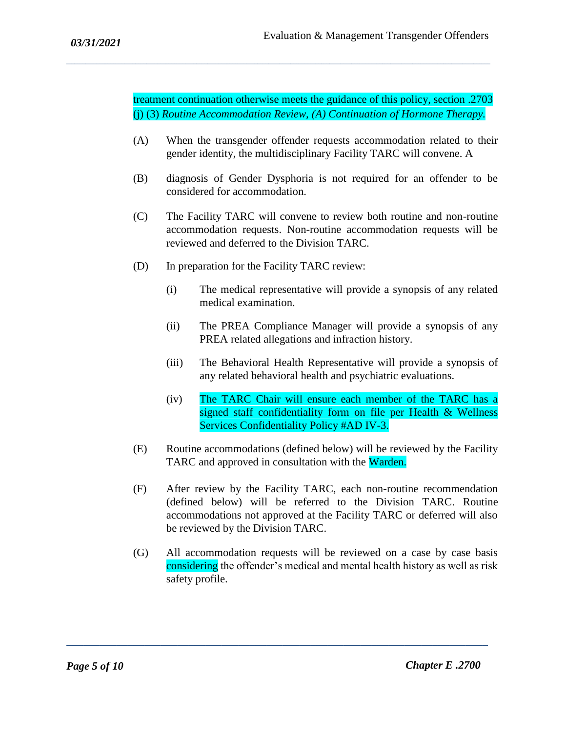treatment continuation otherwise meets the guidance of this policy, section .2703 (j) (3) *Routine Accommodation Review, (A) Continuation of Hormone Therapy.*

*\_\_\_\_\_\_\_\_\_\_\_\_\_\_\_\_\_\_\_\_\_\_\_\_\_\_\_\_\_\_\_\_\_\_\_\_\_\_\_\_\_\_\_\_\_\_\_\_\_\_\_\_\_\_\_\_\_\_\_\_\_\_\_\_\_\_\_\_\_\_\_\_\_\_\_\_\_\_\_\_\_\_\_\_\_\_\_\_\_\_\_\_\_\_\_\_\_\_\_\_\_\_\_\_\_\_\_\_\_\_\_\_\_\_\_\_\_\_\_\_\_\_\_\_\_\_\_\_\_\_\_\_\_\_\_\_\_\_\_\_\_\_\_\_\_\_\_\_\_\_\_\_\_*

- (A) When the transgender offender requests accommodation related to their gender identity, the multidisciplinary Facility TARC will convene. A
- (B) diagnosis of Gender Dysphoria is not required for an offender to be considered for accommodation.
- (C) The Facility TARC will convene to review both routine and non-routine accommodation requests. Non-routine accommodation requests will be reviewed and deferred to the Division TARC.
- (D) In preparation for the Facility TARC review:
	- (i) The medical representative will provide a synopsis of any related medical examination.
	- (ii) The PREA Compliance Manager will provide a synopsis of any PREA related allegations and infraction history.
	- (iii) The Behavioral Health Representative will provide a synopsis of any related behavioral health and psychiatric evaluations.
	- (iv) The TARC Chair will ensure each member of the TARC has a signed staff confidentiality form on file per Health & Wellness Services Confidentiality Policy #AD IV-3.
- (E) Routine accommodations (defined below) will be reviewed by the Facility TARC and approved in consultation with the Warden.
- (F) After review by the Facility TARC, each non-routine recommendation (defined below) will be referred to the Division TARC. Routine accommodations not approved at the Facility TARC or deferred will also be reviewed by the Division TARC.
- (G) All accommodation requests will be reviewed on a case by case basis considering the offender's medical and mental health history as well as risk safety profile.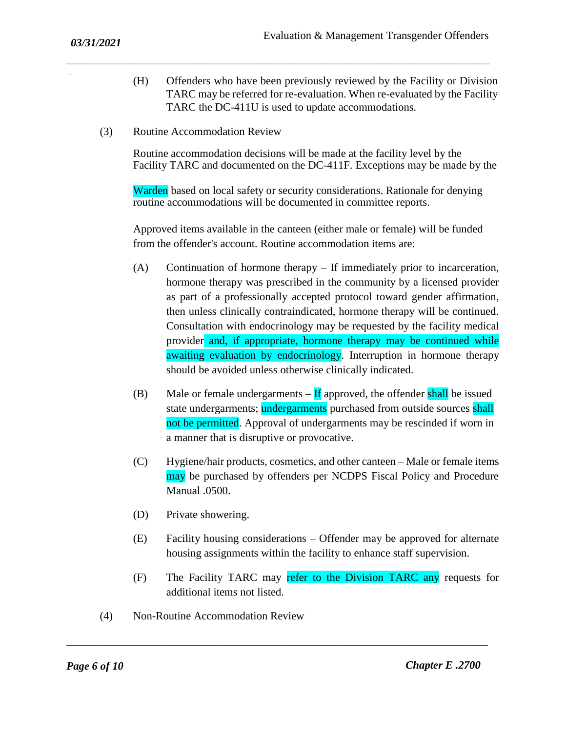(H) Offenders who have been previously reviewed by the Facility or Division TARC may be referred for re-evaluation. When re-evaluated by the Facility TARC the DC-411U is used to update accommodations.

*\_\_\_\_\_\_\_\_\_\_\_\_\_\_\_\_\_\_\_\_\_\_\_\_\_\_\_\_\_\_\_\_\_\_\_\_\_\_\_\_\_\_\_\_\_\_\_\_\_\_\_\_\_\_\_\_\_\_\_\_\_\_\_\_\_\_\_\_\_\_\_\_\_\_\_\_\_\_\_\_\_\_\_\_\_\_\_\_\_\_\_\_\_\_\_\_\_\_\_\_\_\_\_\_\_\_\_\_\_\_\_\_\_\_\_\_\_\_\_\_\_\_\_\_\_\_\_\_\_\_\_\_\_\_\_\_\_\_\_\_\_\_\_\_\_\_\_\_\_\_\_\_\_*

(3) Routine Accommodation Review

Routine accommodation decisions will be made at the facility level by the Facility TARC and documented on the DC-411F. Exceptions may be made by the

Warden based on local safety or security considerations. Rationale for denying routine accommodations will be documented in committee reports.

Approved items available in the canteen (either male or female) will be funded from the offender's account. Routine accommodation items are:

- (A) Continuation of hormone therapy If immediately prior to incarceration, hormone therapy was prescribed in the community by a licensed provider as part of a professionally accepted protocol toward gender affirmation, then unless clinically contraindicated, hormone therapy will be continued. Consultation with endocrinology may be requested by the facility medical provider and, if appropriate, hormone therapy may be continued while awaiting evaluation by endocrinology. Interruption in hormone therapy should be avoided unless otherwise clinically indicated.
- (B) Male or female undergarments  $-\mathbf{If}$  approved, the offender shall be issued state undergarments; undergarments purchased from outside sources shall not be permitted. Approval of undergarments may be rescinded if worn in a manner that is disruptive or provocative.
- (C) Hygiene/hair products, cosmetics, and other canteen Male or female items may be purchased by offenders per NCDPS Fiscal Policy and Procedure Manual .0500.
- (D) Private showering.
- (E) Facility housing considerations Offender may be approved for alternate housing assignments within the facility to enhance staff supervision.
- (F) The Facility TARC may refer to the Division TARC any requests for additional items not listed.

**\_\_\_\_\_\_\_\_\_\_\_\_\_\_\_\_\_\_\_\_\_\_\_\_\_\_\_\_\_\_\_\_\_\_\_\_\_\_\_\_\_\_\_\_\_\_\_\_\_\_\_\_\_\_\_\_\_\_\_\_\_\_\_\_\_\_\_\_\_\_\_\_\_\_\_\_**

(4) Non-Routine Accommodation Review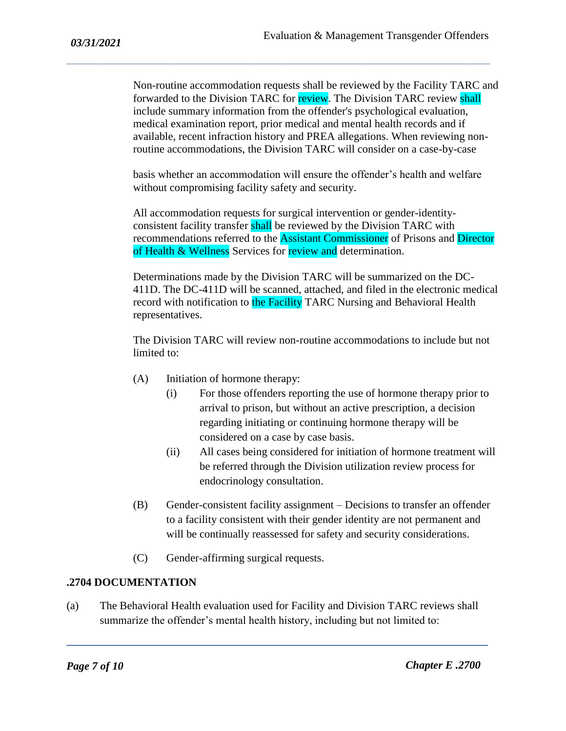Non-routine accommodation requests shall be reviewed by the Facility TARC and forwarded to the Division TARC for review. The Division TARC review shall include summary information from the offender's psychological evaluation, medical examination report, prior medical and mental health records and if available, recent infraction history and PREA allegations. When reviewing nonroutine accommodations, the Division TARC will consider on a case-by-case

*\_\_\_\_\_\_\_\_\_\_\_\_\_\_\_\_\_\_\_\_\_\_\_\_\_\_\_\_\_\_\_\_\_\_\_\_\_\_\_\_\_\_\_\_\_\_\_\_\_\_\_\_\_\_\_\_\_\_\_\_\_\_\_\_\_\_\_\_\_\_\_\_\_\_\_\_\_\_\_\_\_\_\_\_\_\_\_\_\_\_\_\_\_\_\_\_\_\_\_\_\_\_\_\_\_\_\_\_\_\_\_\_\_\_\_\_\_\_\_\_\_\_\_\_\_\_\_\_\_\_\_\_\_\_\_\_\_\_\_\_\_\_\_\_\_\_\_\_\_\_\_\_\_*

basis whether an accommodation will ensure the offender's health and welfare without compromising facility safety and security.

All accommodation requests for surgical intervention or gender-identityconsistent facility transfer shall be reviewed by the Division TARC with recommendations referred to the Assistant Commissioner of Prisons and Director of Health & Wellness Services for review and determination.

Determinations made by the Division TARC will be summarized on the DC-411D. The DC-411D will be scanned, attached, and filed in the electronic medical record with notification to the Facility TARC Nursing and Behavioral Health representatives.

The Division TARC will review non-routine accommodations to include but not limited to:

- (A) Initiation of hormone therapy:
	- (i) For those offenders reporting the use of hormone therapy prior to arrival to prison, but without an active prescription, a decision regarding initiating or continuing hormone therapy will be considered on a case by case basis.
	- (ii) All cases being considered for initiation of hormone treatment will be referred through the Division utilization review process for endocrinology consultation.
- (B) Gender-consistent facility assignment Decisions to transfer an offender to a facility consistent with their gender identity are not permanent and will be continually reassessed for safety and security considerations.
- (C) Gender-affirming surgical requests.

# **.2704 DOCUMENTATION**

(a) The Behavioral Health evaluation used for Facility and Division TARC reviews shall summarize the offender's mental health history, including but not limited to: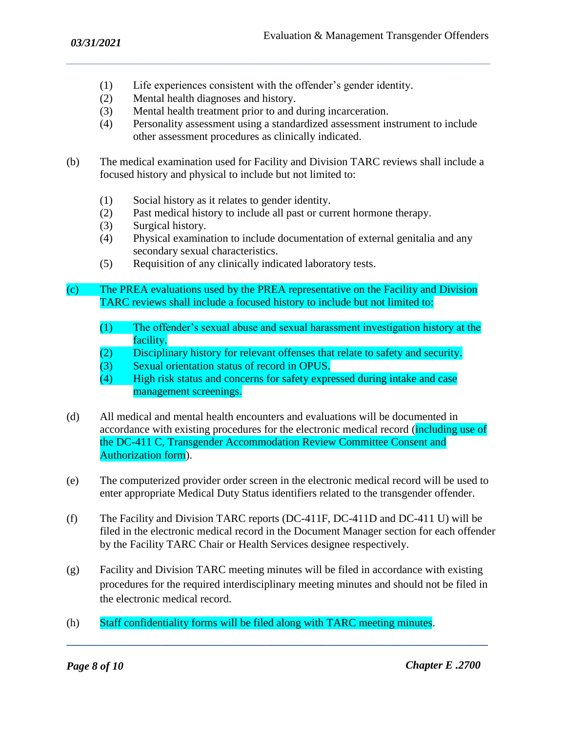- (1) Life experiences consistent with the offender's gender identity.
- (2) Mental health diagnoses and history.
- (3) Mental health treatment prior to and during incarceration.
- (4) Personality assessment using a standardized assessment instrument to include other assessment procedures as clinically indicated.
- (b) The medical examination used for Facility and Division TARC reviews shall include a focused history and physical to include but not limited to:

*\_\_\_\_\_\_\_\_\_\_\_\_\_\_\_\_\_\_\_\_\_\_\_\_\_\_\_\_\_\_\_\_\_\_\_\_\_\_\_\_\_\_\_\_\_\_\_\_\_\_\_\_\_\_\_\_\_\_\_\_\_\_\_\_\_\_\_\_\_\_\_\_\_\_\_\_\_\_\_\_\_\_\_\_\_\_\_\_\_\_\_\_\_\_\_\_\_\_\_\_\_\_\_\_\_\_\_\_\_\_\_\_\_\_\_\_\_\_\_\_\_\_\_\_\_\_\_\_\_\_\_\_\_\_\_\_\_\_\_\_\_\_\_\_\_\_\_\_\_\_\_\_\_*

- (1) Social history as it relates to gender identity.
- (2) Past medical history to include all past or current hormone therapy.
- (3) Surgical history.
- (4) Physical examination to include documentation of external genitalia and any secondary sexual characteristics.
- (5) Requisition of any clinically indicated laboratory tests.
- (c) The PREA evaluations used by the PREA representative on the Facility and Division TARC reviews shall include a focused history to include but not limited to:
	- (1) The offender's sexual abuse and sexual harassment investigation history at the facility.
	- (2) Disciplinary history for relevant offenses that relate to safety and security.
	- (3) Sexual orientation status of record in OPUS.
	- (4) High risk status and concerns for safety expressed during intake and case management screenings.
- (d) All medical and mental health encounters and evaluations will be documented in accordance with existing procedures for the electronic medical record (including use of the DC-411 C, Transgender Accommodation Review Committee Consent and Authorization form).
- (e) The computerized provider order screen in the electronic medical record will be used to enter appropriate Medical Duty Status identifiers related to the transgender offender.
- (f) The Facility and Division TARC reports (DC-411F, DC-411D and DC-411 U) will be filed in the electronic medical record in the Document Manager section for each offender by the Facility TARC Chair or Health Services designee respectively.
- (g) Facility and Division TARC meeting minutes will be filed in accordance with existing procedures for the required interdisciplinary meeting minutes and should not be filed in the electronic medical record.

**\_\_\_\_\_\_\_\_\_\_\_\_\_\_\_\_\_\_\_\_\_\_\_\_\_\_\_\_\_\_\_\_\_\_\_\_\_\_\_\_\_\_\_\_\_\_\_\_\_\_\_\_\_\_\_\_\_\_\_\_\_\_\_\_\_\_\_\_\_\_\_\_\_\_\_\_**

(h) Staff confidentiality forms will be filed along with TARC meeting minutes.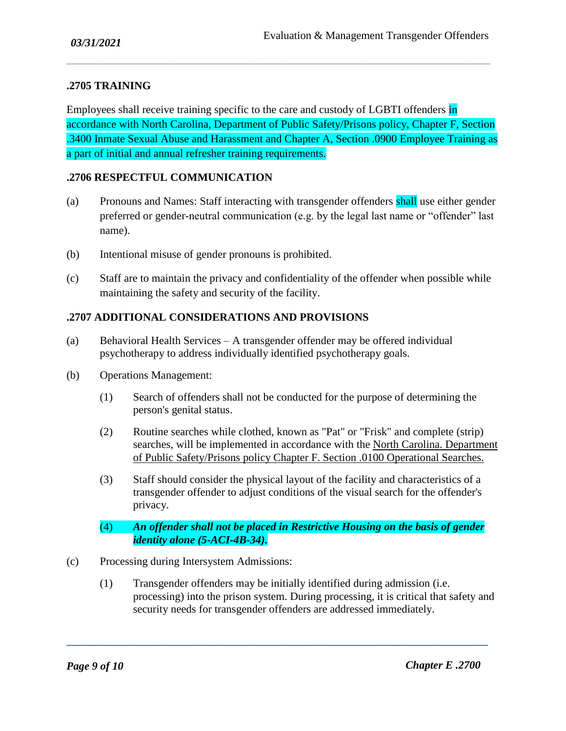#### **.2705 TRAINING**

Employees shall receive training specific to the care and custody of LGBTI offenders in accordance with North Carolina, Department of Public Safety/Prisons policy, Chapter F, Section .3400 Inmate Sexual Abuse and Harassment and Chapter A, Section .0900 Employee Training as a part of initial and annual refresher training requirements.

*\_\_\_\_\_\_\_\_\_\_\_\_\_\_\_\_\_\_\_\_\_\_\_\_\_\_\_\_\_\_\_\_\_\_\_\_\_\_\_\_\_\_\_\_\_\_\_\_\_\_\_\_\_\_\_\_\_\_\_\_\_\_\_\_\_\_\_\_\_\_\_\_\_\_\_\_\_\_\_\_\_\_\_\_\_\_\_\_\_\_\_\_\_\_\_\_\_\_\_\_\_\_\_\_\_\_\_\_\_\_\_\_\_\_\_\_\_\_\_\_\_\_\_\_\_\_\_\_\_\_\_\_\_\_\_\_\_\_\_\_\_\_\_\_\_\_\_\_\_\_\_\_\_*

#### **.2706 RESPECTFUL COMMUNICATION**

- (a) Pronouns and Names: Staff interacting with transgender offenders shall use either gender preferred or gender-neutral communication (e.g. by the legal last name or "offender" last name).
- (b) Intentional misuse of gender pronouns is prohibited.
- (c) Staff are to maintain the privacy and confidentiality of the offender when possible while maintaining the safety and security of the facility.

#### **.2707 ADDITIONAL CONSIDERATIONS AND PROVISIONS**

- (a) Behavioral Health Services A transgender offender may be offered individual psychotherapy to address individually identified psychotherapy goals.
- (b) Operations Management:
	- (1) Search of offenders shall not be conducted for the purpose of determining the person's genital status.
	- (2) Routine searches while clothed, known as "Pat" or "Frisk" and complete (strip) searches, will be implemented in accordance with the North Carolina. Department of Public Safety/Prisons policy Chapter F. Section .0100 Operational Searches.
	- (3) Staff should consider the physical layout of the facility and characteristics of a transgender offender to adjust conditions of the visual search for the offender's privacy.
	- (4) *An offender shall not be placed in Restrictive Housing on the basis of gender identity alone (5-ACI-4B-34).*
- (c) Processing during Intersystem Admissions:
	- (1) Transgender offenders may be initially identified during admission (i.e. processing) into the prison system. During processing, it is critical that safety and security needs for transgender offenders are addressed immediately.